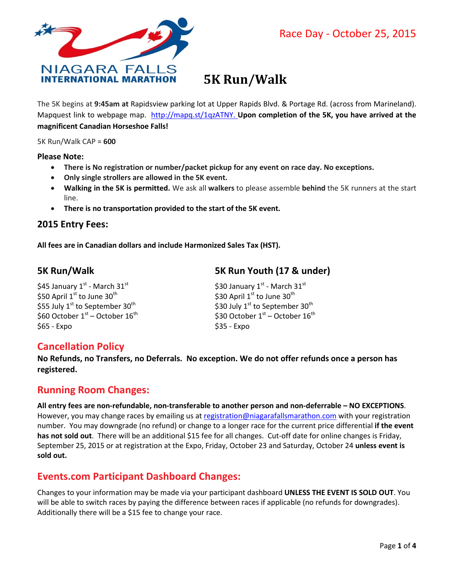

# **5K Run/Walk**

The 5K begins at **9:45am at** Rapidsview parking lot at Upper Rapids Blvd. & Portage Rd. (across from Marineland). Mapquest link to webpage map. [http://mapq.st/1qzATNY.](http://mapq.st/1qzATNY) **Upon completion of the 5K, you have arrived at the magnificent Canadian Horseshoe Falls!**

5K Run/Walk CAP = **600**

**Please Note:** 

- **There is No registration or number/packet pickup for any event on race day. No exceptions.**
- **Only single strollers are allowed in the 5K event.**
- **Walking in the 5K is permitted.** We ask all **walkers** to please assemble **behind** the 5K runners at the start line.
- **There is no transportation provided to the start of the 5K event.**

#### **2015 Entry Fees:**

**All fees are in Canadian dollars and include Harmonized Sales Tax (HST).** 

\$45 January 1st - March  $31^{st}$   $\sim$  \$30 January 1st - March  $31^{st}$ \$50 April  $1^{st}$  to June  $30^{th}$  \$30 April  $1^{st}$  to June  $30^{th}$ \$55 July  $1^{st}$  to September 30<sup>th</sup>  $\qquad \qquad$  \$30 July  $1^{st}$  to September 30<sup>th</sup> \$60 October  $1<sup>st</sup>$  – October  $16<sup>th</sup>$  \$30 October  $1<sup>st</sup>$  – October  $16<sup>th</sup>$ \$65 - Expo \$35 - Expo \$35 - Expo

# **5K Run/Walk 5K Run Youth (17 & under)**

# **Cancellation Policy**

**No Refunds, no Transfers, no Deferrals. No exception. We do not offer refunds once a person has registered.** 

# **Running Room Changes:**

**All entry fees are non-refundable, non-transferable to another person and non-deferrable – NO EXCEPTIONS**. However, you may change races by emailing us at [registration@niagarafallsmarathon.com](mailto:registration@niagarafallsmarathon.com) with your registration number. You may downgrade (no refund) or change to a longer race for the current price differential **if the event has not sold out**. There will be an additional \$15 fee for all changes. Cut-off date for online changes is Friday, September 25, 2015 or at registration at the Expo, Friday, October 23 and Saturday, October 24 **unless event is sold out.**

# **Events.com Participant Dashboard Changes:**

Changes to your information may be made via your participant dashboard **UNLESS THE EVENT IS SOLD OUT**. You will be able to switch races by paying the difference between races if applicable (no refunds for downgrades). Additionally there will be a \$15 fee to change your race.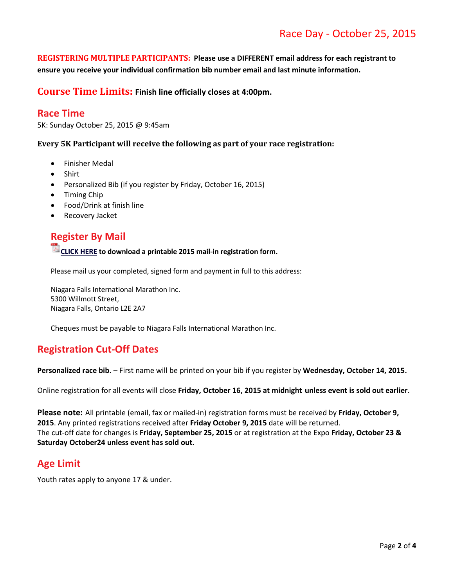# Race Day - October 25, 2015

**REGISTERING MULTIPLE PARTICIPANTS: Please use a DIFFERENT email address for each registrant to ensure you receive your individual confirmation bib number email and last minute information.**

**Course Time Limits: Finish line officially closes at 4:00pm.**

#### **Race Time**

5K: Sunday October 25, 2015 @ 9:45am

#### **Every 5K Participant will receive the following as part of your race registration:**

- Finisher Medal
- Shirt
- Personalized Bib (if you register by Friday, October 16, 2015)
- Timing Chip
- Food/Drink at finish line
- Recovery Jacket

# **Register By Mail**

### **CLICK HERE to download a printable 2015 mail-in registration form.**

Please mail us your completed, signed form and payment in full to this address:

Niagara Falls International Marathon Inc. 5300 Willmott Street, Niagara Falls, Ontario L2E 2A7

Cheques must be payable to Niagara Falls International Marathon Inc.

#### **Registration Cut-Off Dates**

**Personalized race bib.** – First name will be printed on your bib if you register by **Wednesday, October 14, 2015.**

Online registration for all events will close **Friday, October 16, 2015 at midnight unless event is sold out earlier**.

**Please note:** All printable (email, fax or mailed-in) registration forms must be received by **Friday, October 9, 2015**. Any printed registrations received after **Friday October 9, 2015** date will be returned. The cut-off date for changes is **Friday, September 25, 2015** or at registration at the Expo **Friday, October 23 & Saturday October24 unless event has sold out.**

#### **Age Limit**

Youth rates apply to anyone 17 & under.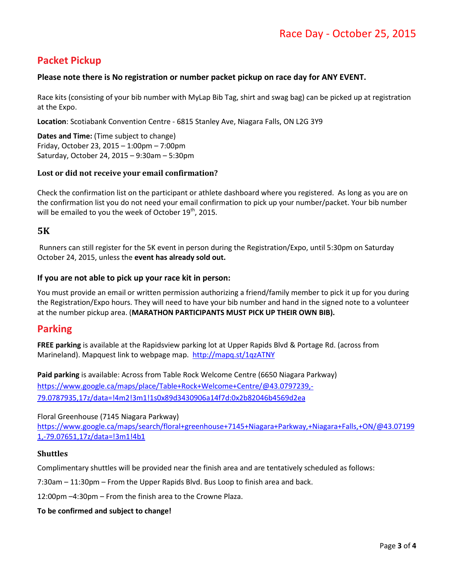# **Packet Pickup**

#### **Please note there is No registration or number packet pickup on race day for ANY EVENT.**

Race kits (consisting of your bib number with MyLap Bib Tag, shirt and swag bag) can be picked up at registration at the Expo.

**Location**: Scotiabank Convention Centre - 6815 Stanley Ave, Niagara Falls, ON L2G 3Y9

**Dates and Time:** (Time subject to change) Friday, October 23, 2015 – 1:00pm – 7:00pm Saturday, October 24, 2015 – 9:30am – 5:30pm

#### **Lost or did not receive your email confirmation?**

Check the confirmation list on the participant or athlete dashboard where you registered. As long as you are on the confirmation list you do not need your email confirmation to pick up your number/packet. Your bib number will be emailed to you the week of October 19<sup>th</sup>, 2015.

#### **5K**

Runners can still register for the 5K event in person during the Registration/Expo, until 5:30pm on Saturday October 24, 2015, unless the **event has already sold out.**

#### **If you are not able to pick up your race kit in person:**

You must provide an email or written permission authorizing a friend/family member to pick it up for you during the Registration/Expo hours. They will need to have your bib number and hand in the signed note to a volunteer at the number pickup area. (**MARATHON PARTICIPANTS MUST PICK UP THEIR OWN BIB).**

#### **Parking**

**FREE parking** is available at the Rapidsview parking lot at Upper Rapids Blvd & Portage Rd. (across from Marineland). Mapquest link to webpage map. <http://mapq.st/1qzATNY>

**Paid parking** is available: Across from Table Rock Welcome Centre (6650 Niagara Parkway) [https://www.google.ca/maps/place/Table+Rock+Welcome+Centre/@43.0797239,-](https://www.google.ca/maps/place/Table+Rock+Welcome+Centre/@43.0797239,-79.0787935,17z/data=!4m2!3m1!1s0x89d3430906a14f7d:0x2b82046b4569d2ea) [79.0787935,17z/data=!4m2!3m1!1s0x89d3430906a14f7d:0x2b82046b4569d2ea](https://www.google.ca/maps/place/Table+Rock+Welcome+Centre/@43.0797239,-79.0787935,17z/data=!4m2!3m1!1s0x89d3430906a14f7d:0x2b82046b4569d2ea)

Floral Greenhouse (7145 Niagara Parkway) [https://www.google.ca/maps/search/floral+greenhouse+7145+Niagara+Parkway,+Niagara+Falls,+ON/@43.07199](https://www.google.ca/maps/search/floral+greenhouse+7145+Niagara+Parkway,+Niagara+Falls,+ON/@43.071991,-79.07651,17z/data=!3m1!4b1) [1,-79.07651,17z/data=!3m1!4b1](https://www.google.ca/maps/search/floral+greenhouse+7145+Niagara+Parkway,+Niagara+Falls,+ON/@43.071991,-79.07651,17z/data=!3m1!4b1)

#### **Shuttles**

Complimentary shuttles will be provided near the finish area and are tentatively scheduled as follows:

7:30am – 11:30pm – From the Upper Rapids Blvd. Bus Loop to finish area and back.

12:00pm –4:30pm – From the finish area to the Crowne Plaza.

#### **To be confirmed and subject to change!**